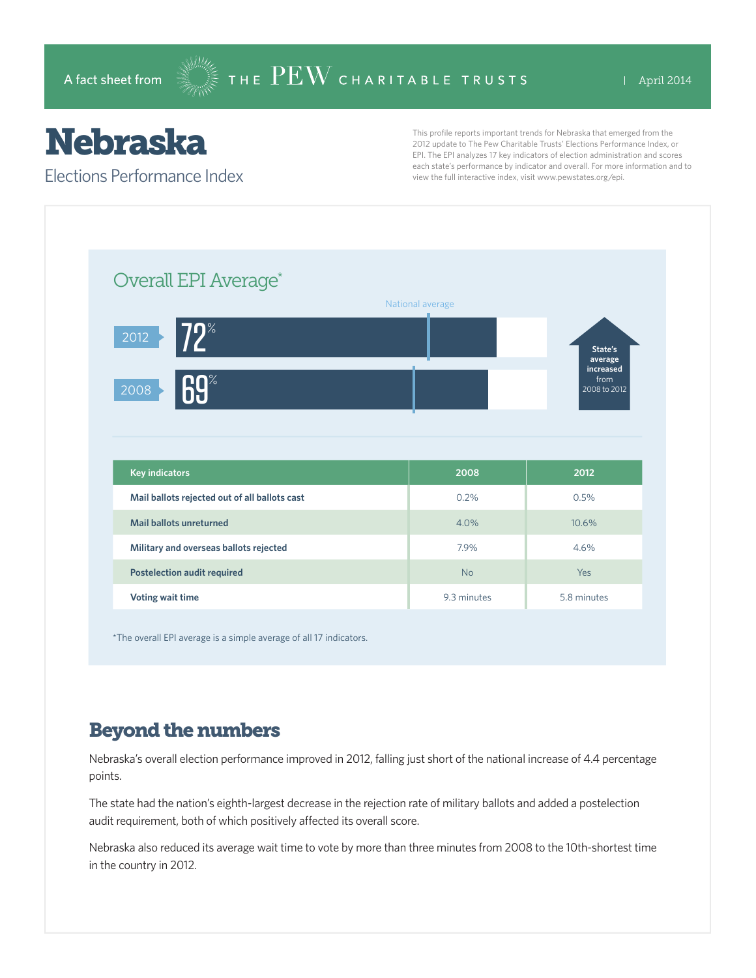## Nebraska

Elections Performance Index

This profile reports important trends for Nebraska that emerged from the 2012 update to The Pew Charitable Trusts' Elections Performance Index, or EPI. The EPI analyzes 17 key indicators of election administration and scores each state's performance by indicator and overall. For more information and to view the full interactive index, visit www.pewstates.org/epi.

| Overall EPI Average*                          |                  |                      |
|-----------------------------------------------|------------------|----------------------|
|                                               | National average |                      |
| $72^{\circ}$<br>2012                          |                  | State's              |
|                                               |                  | average<br>increased |
| <b>69%</b><br>2008                            |                  | from<br>2008 to 2012 |
|                                               |                  |                      |
|                                               |                  |                      |
|                                               |                  |                      |
|                                               |                  |                      |
| <b>Key indicators</b>                         | 2008             | 2012                 |
| Mail ballots rejected out of all ballots cast | 0.2%             | 0.5%                 |
| Mail ballots unreturned                       | 4.0%             | 10.6%                |
| Military and overseas ballots rejected        | 7.9%             | 4.6%                 |
| <b>Postelection audit required</b>            | <b>No</b>        |                      |

\*The overall EPI average is a simple average of all 17 indicators.

## Beyond the numbers

Nebraska's overall election performance improved in 2012, falling just short of the national increase of 4.4 percentage points.

The state had the nation's eighth-largest decrease in the rejection rate of military ballots and added a postelection audit requirement, both of which positively affected its overall score.

Nebraska also reduced its average wait time to vote by more than three minutes from 2008 to the 10th-shortest time in the country in 2012.